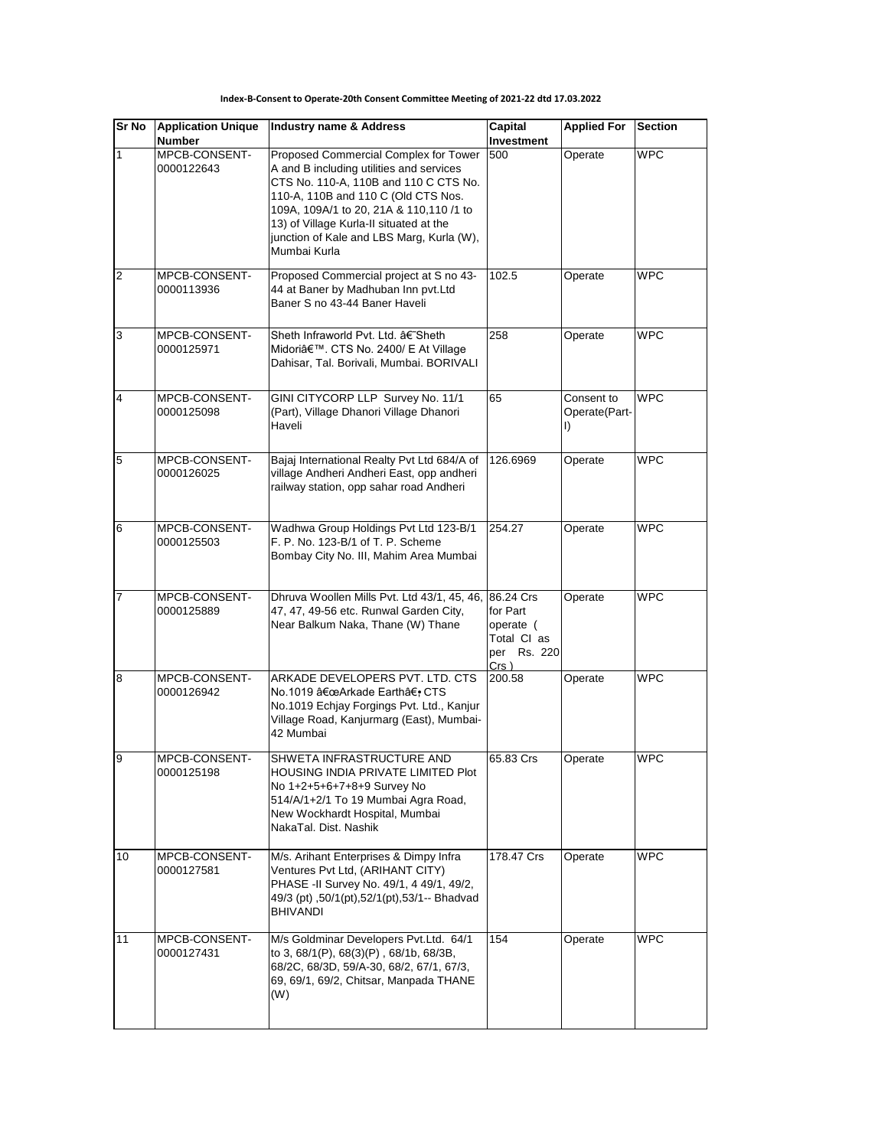| Sr No          | <b>Application Unique</b><br><b>Number</b> | <b>Industry name &amp; Address</b>                                                                                                                                                                                                                                                                                   | Capital<br><b>Investment</b>                                                | <b>Applied For</b>                | <b>Section</b> |
|----------------|--------------------------------------------|----------------------------------------------------------------------------------------------------------------------------------------------------------------------------------------------------------------------------------------------------------------------------------------------------------------------|-----------------------------------------------------------------------------|-----------------------------------|----------------|
| $\mathbf{1}$   | MPCB-CONSENT-<br>0000122643                | Proposed Commercial Complex for Tower<br>A and B including utilities and services<br>CTS No. 110-A, 110B and 110 C CTS No.<br>110-A, 110B and 110 C (Old CTS Nos.<br>109A, 109A/1 to 20, 21A & 110,110 /1 to<br>13) of Village Kurla-II situated at the<br>junction of Kale and LBS Marg, Kurla (W),<br>Mumbai Kurla | 500                                                                         | Operate                           | <b>WPC</b>     |
| $\overline{c}$ | MPCB-CONSENT-<br>0000113936                | Proposed Commercial project at S no 43-<br>44 at Baner by Madhuban Inn pvt.Ltd<br>Baner S no 43-44 Baner Haveli                                                                                                                                                                                                      | 102.5                                                                       | Operate                           | WPC            |
| 3              | MPCB-CONSENT-<br>0000125971                | Sheth Infraworld Pvt. Ltd. †Sheth<br>Midori'. CTS No. 2400/ E At Village<br>Dahisar, Tal. Borivali, Mumbai. BORIVALI                                                                                                                                                                                                 | 258                                                                         | Operate                           | <b>WPC</b>     |
| 4              | MPCB-CONSENT-<br>0000125098                | GINI CITYCORP LLP Survey No. 11/1<br>(Part), Village Dhanori Village Dhanori<br>Haveli                                                                                                                                                                                                                               | 65                                                                          | Consent to<br>Operate(Part-<br>I) | <b>WPC</b>     |
| 5              | MPCB-CONSENT-<br>0000126025                | Bajaj International Realty Pvt Ltd 684/A of<br>village Andheri Andheri East, opp andheri<br>railway station, opp sahar road Andheri                                                                                                                                                                                  | 126.6969                                                                    | Operate                           | <b>WPC</b>     |
| 6              | MPCB-CONSENT-<br>0000125503                | Wadhwa Group Holdings Pvt Ltd 123-B/1<br>F. P. No. 123-B/1 of T. P. Scheme<br>Bombay City No. III, Mahim Area Mumbai                                                                                                                                                                                                 | 254.27                                                                      | Operate                           | WPC            |
| $\overline{7}$ | MPCB-CONSENT-<br>0000125889                | Dhruva Woollen Mills Pvt. Ltd 43/1, 45, 46,<br>47, 47, 49-56 etc. Runwal Garden City,<br>Near Balkum Naka, Thane (W) Thane                                                                                                                                                                                           | 86.24 Crs<br>for Part<br>operate (<br>Total CI as<br>per Rs. 220<br>$Crs$ ) | Operate                           | <b>WPC</b>     |
| $\bf8$         | MPCB-CONSENT-<br>0000126942                | ARKADE DEVELOPERS PVT. LTD. CTS<br>No.1019 "Arkade Earthâ€, CTS<br>No.1019 Echjay Forgings Pvt. Ltd., Kanjur<br>Village Road, Kanjurmarg (East), Mumbai-<br>42 Mumbai                                                                                                                                                | 200.58                                                                      | Operate                           | WPC            |
| 9              | MPCB-CONSENT-<br>0000125198                | SHWETA INFRASTRUCTURE AND<br>HOUSING INDIA PRIVATE LIMITED Plot<br>No 1+2+5+6+7+8+9 Survey No<br>514/A/1+2/1 To 19 Mumbai Agra Road,<br>New Wockhardt Hospital, Mumbai<br>NakaTal. Dist. Nashik                                                                                                                      | 65.83 Crs                                                                   | Operate                           | <b>WPC</b>     |
| 10             | MPCB-CONSENT-<br>0000127581                | M/s. Arihant Enterprises & Dimpy Infra<br>Ventures Pvt Ltd, (ARIHANT CITY)<br>PHASE -II Survey No. 49/1, 4 49/1, 49/2,<br>49/3 (pt) .50/1(pt).52/1(pt).53/1-- Bhadvad<br><b>BHIVANDI</b>                                                                                                                             | 178.47 Crs                                                                  | Operate                           | WPC            |
| 11             | MPCB-CONSENT-<br>0000127431                | M/s Goldminar Developers Pvt.Ltd. 64/1<br>to 3, 68/1(P), 68(3)(P), 68/1b, 68/3B,<br>68/2C, 68/3D, 59/A-30, 68/2, 67/1, 67/3,<br>69, 69/1, 69/2, Chitsar, Manpada THANE<br>(W)                                                                                                                                        | 154                                                                         | Operate                           | WPC            |

| Index-B-Consent to Operate-20th Consent Committee Meeting of 2021-22 dtd 17.03.2022 |  |  |
|-------------------------------------------------------------------------------------|--|--|
|                                                                                     |  |  |